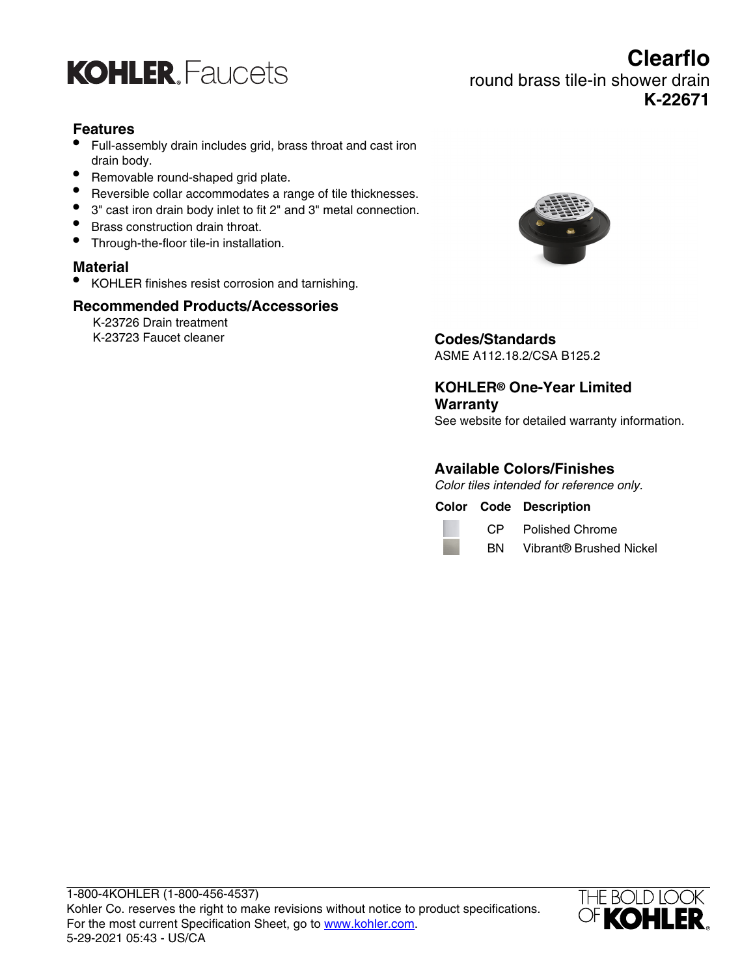

# **Clearflo** round brass tile-in shower drain **K-22671**

#### **Features**

- Full-assembly drain includes grid, brass throat and cast iron drain body.
- Removable round-shaped grid plate.
- Reversible collar accommodates a range of tile thicknesses.
- 3" cast iron drain body inlet to fit 2" and 3" metal connection.
- Brass construction drain throat.
- Through-the-floor tile-in installation.

#### **Material**

• KOHLER finishes resist corrosion and tarnishing.

#### **Recommended Products/Accessories**

K-23726 Drain treatment K-23723 Faucet cleaner **Codes/Standards**



ASME A112.18.2/CSA B125.2

**KOHLER® One-Year Limited Warranty** See website for detailed warranty information.

#### **Available Colors/Finishes**

Color tiles intended for reference only.

**Color Code Description**



CP Polished Chrome BN Vibrant® Brushed Nickel